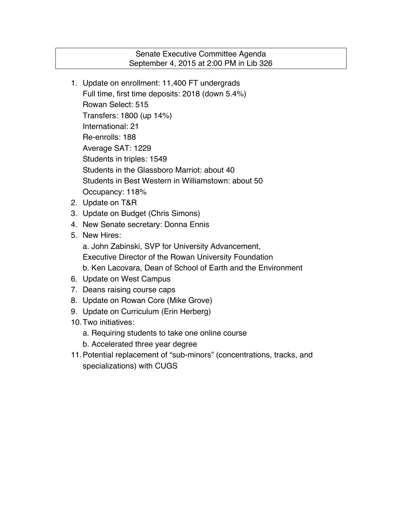# Senate Executive Committee Agenda September 4, 2015 at 2:00 PM in Lib 326

- 1. Update on enrollment: 11,400 FT undergrads Full time, first time deposits: 2018 (down 5.4%) Rowan Select: 515 Transfers: 1800 (up 14%) International: 21 Re-enrolls: 188 Average SAT: 1229 Students in triples: 1549 Students in the Glassboro Marriot: about 40 Students in Best Western in Williamstown: about 50 Occupancy: 118%
- 2. Update on T&R
- 3. Update on Budget (Chris Simons)
- 4. New Senate secretary: Donna Ennis
- 5. New Hires:
	- a. John Zabinski, SVP for University Advancement,
	- Executive Director of the Rowan University Foundation
	- b. Ken Lacovara, Dean of School of Earth and the Environment
- 6. Update on West Campus
- 7. Deans raising course caps
- 8. Update on Rowan Core (Mike Grove)
- 9. Update on Curriculum (Erin Herberg)
- 10.Two initiatives:
	- a. Requiring students to take one online course
	- b. Accelerated three year degree
- 11.Potential replacement of "sub-minors" (concentrations, tracks, and specializations) with CUGS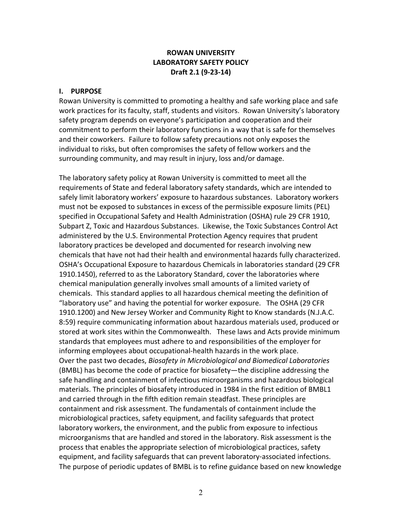## **ROWAN UNIVERSITY LABORATORY SAFETY POLICY Draft 2.1 (9-23-14)**

## **I. PURPOSE**

Rowan University is committed to promoting a healthy and safe working place and safe work practices for its faculty, staff, students and visitors. Rowan University's laboratory safety program depends on everyone's participation and cooperation and their commitment to perform their laboratory functions in a way that is safe for themselves and their coworkers. Failure to follow safety precautions not only exposes the individual to risks, but often compromises the safety of fellow workers and the surrounding community, and may result in injury, loss and/or damage.

The laboratory safety policy at Rowan University is committed to meet all the requirements of State and federal laboratory safety standards, which are intended to safely limit laboratory workers' exposure to hazardous substances. Laboratory workers must not be exposed to substances in excess of the permissible exposure limits (PEL) specified in Occupational Safety and Health Administration (OSHA) rule 29 CFR 1910, Subpart Z, Toxic and Hazardous Substances. Likewise, the Toxic Substances Control Act administered by the U.S. Environmental Protection Agency requires that prudent laboratory practices be developed and documented for research involving new chemicals that have not had their health and environmental hazards fully characterized. OSHA's Occupational Exposure to hazardous Chemicals in laboratories standard (29 CFR 1910.1450), referred to as the Laboratory Standard, cover the laboratories where chemical manipulation generally involves small amounts of a limited variety of chemicals. This standard applies to all hazardous chemical meeting the definition of "laboratory use" and having the potential for worker exposure. The OSHA (29 CFR 1910.1200) and New Jersey Worker and Community Right to Know standards (N.J.A.C. 8:59) require communicating information about hazardous materials used, produced or stored at work sites within the Commonwealth. These laws and Acts provide minimum standards that employees must adhere to and responsibilities of the employer for informing employees about occupational-health hazards in the work place. Over the past two decades, *Biosafety in Microbiological and Biomedical Laboratories* (BMBL) has become the code of practice for biosafety—the discipline addressing the safe handling and containment of infectious microorganisms and hazardous biological materials. The principles of biosafety introduced in 1984 in the first edition of BMBL1 and carried through in the fifth edition remain steadfast. These principles are containment and risk assessment. The fundamentals of containment include the microbiological practices, safety equipment, and facility safeguards that protect laboratory workers, the environment, and the public from exposure to infectious microorganisms that are handled and stored in the laboratory. Risk assessment is the process that enables the appropriate selection of microbiological practices, safety equipment, and facility safeguards that can prevent laboratory-associated infections. The purpose of periodic updates of BMBL is to refine guidance based on new knowledge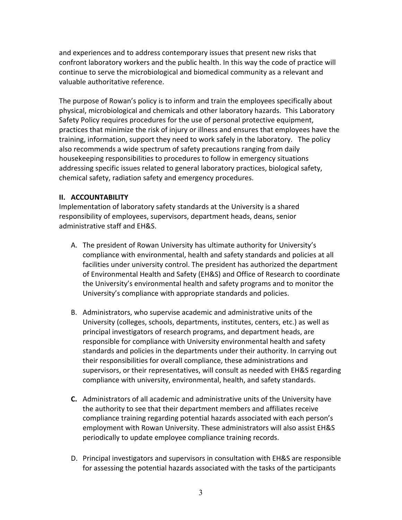and experiences and to address contemporary issues that present new risks that confront laboratory workers and the public health. In this way the code of practice will continue to serve the microbiological and biomedical community as a relevant and valuable authoritative reference.

The purpose of Rowan's policy is to inform and train the employees specifically about physical, microbiological and chemicals and other laboratory hazards. This Laboratory Safety Policy requires procedures for the use of personal protective equipment, practices that minimize the risk of injury or illness and ensures that employees have the training, information, support they need to work safely in the laboratory. The policy also recommends a wide spectrum of safety precautions ranging from daily housekeeping responsibilities to procedures to follow in emergency situations addressing specific issues related to general laboratory practices, biological safety, chemical safety, radiation safety and emergency procedures.

## **II. ACCOUNTABILITY**

Implementation of laboratory safety standards at the University is a shared responsibility of employees, supervisors, department heads, deans, senior administrative staff and EH&S.

- A. The president of Rowan University has ultimate authority for University's compliance with environmental, health and safety standards and policies at all facilities under university control. The president has authorized the department of Environmental Health and Safety (EH&S) and Office of Research to coordinate the University's environmental health and safety programs and to monitor the University's compliance with appropriate standards and policies.
- B. Administrators, who supervise academic and administrative units of the University (colleges, schools, departments, institutes, centers, etc.) as well as principal investigators of research programs, and department heads, are responsible for compliance with University environmental health and safety standards and policies in the departments under their authority. In carrying out their responsibilities for overall compliance, these administrations and supervisors, or their representatives, will consult as needed with EH&S regarding compliance with university, environmental, health, and safety standards.
- **C.** Administrators of all academic and administrative units of the University have the authority to see that their department members and affiliates receive compliance training regarding potential hazards associated with each person's employment with Rowan University. These administrators will also assist EH&S periodically to update employee compliance training records.
- D. Principal investigators and supervisors in consultation with EH&S are responsible for assessing the potential hazards associated with the tasks of the participants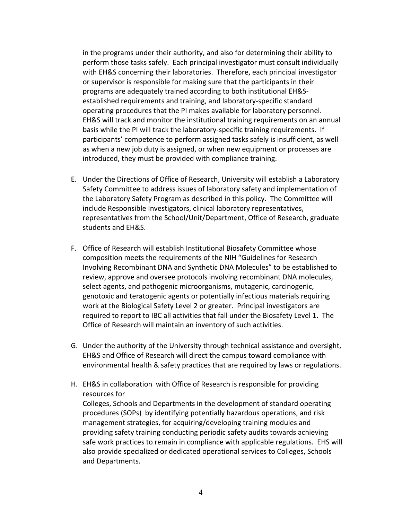in the programs under their authority, and also for determining their ability to perform those tasks safely. Each principal investigator must consult individually with EH&S concerning their laboratories. Therefore, each principal investigator or supervisor is responsible for making sure that the participants in their programs are adequately trained according to both institutional EH&Sestablished requirements and training, and laboratory-specific standard operating procedures that the PI makes available for laboratory personnel. EH&S will track and monitor the institutional training requirements on an annual basis while the PI will track the laboratory-specific training requirements. If participants' competence to perform assigned tasks safely is insufficient, as well as when a new job duty is assigned, or when new equipment or processes are introduced, they must be provided with compliance training.

- E. Under the Directions of Office of Research, University will establish a Laboratory Safety Committee to address issues of laboratory safety and implementation of the Laboratory Safety Program as described in this policy. The Committee will include Responsible Investigators, clinical laboratory representatives, representatives from the School/Unit/Department, Office of Research, graduate students and EH&S.
- F. Office of Research will establish Institutional Biosafety Committee whose composition meets the requirements of the NIH "Guidelines for Research Involving Recombinant DNA and Synthetic DNA Molecules" to be established to review, approve and oversee protocols involving recombinant DNA molecules, select agents, and pathogenic microorganisms, mutagenic, carcinogenic, genotoxic and teratogenic agents or potentially infectious materials requiring work at the Biological Safety Level 2 or greater. Principal investigators are required to report to IBC all activities that fall under the Biosafety Level 1. The Office of Research will maintain an inventory of such activities.
- G. Under the authority of the University through technical assistance and oversight, EH&S and Office of Research will direct the campus toward compliance with environmental health & safety practices that are required by laws or regulations.
- H. EH&S in collaboration with Office of Research is responsible for providing resources for

Colleges, Schools and Departments in the development of standard operating procedures (SOPs) by identifying potentially hazardous operations, and risk management strategies, for acquiring/developing training modules and providing safety training conducting periodic safety audits towards achieving safe work practices to remain in compliance with applicable regulations. EHS will also provide specialized or dedicated operational services to Colleges, Schools and Departments.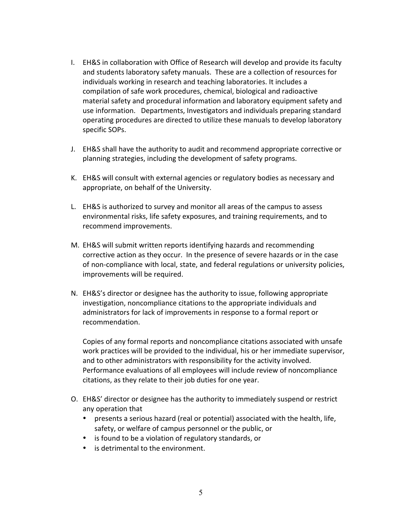- I. EH&S in collaboration with Office of Research will develop and provide its faculty and students laboratory safety manuals. These are a collection of resources for individuals working in research and teaching laboratories. It includes a compilation of safe work procedures, chemical, biological and radioactive material safety and procedural information and laboratory equipment safety and use information. Departments, Investigators and individuals preparing standard operating procedures are directed to utilize these manuals to develop laboratory specific SOPs.
- J. EH&S shall have the authority to audit and recommend appropriate corrective or planning strategies, including the development of safety programs.
- K. EH&S will consult with external agencies or regulatory bodies as necessary and appropriate, on behalf of the University.
- L. EH&S is authorized to survey and monitor all areas of the campus to assess environmental risks, life safety exposures, and training requirements, and to recommend improvements.
- M. EH&S will submit written reports identifying hazards and recommending corrective action as they occur. In the presence of severe hazards or in the case of non-compliance with local, state, and federal regulations or university policies, improvements will be required.
- N. EH&S's director or designee has the authority to issue, following appropriate investigation, noncompliance citations to the appropriate individuals and administrators for lack of improvements in response to a formal report or recommendation.

Copies of any formal reports and noncompliance citations associated with unsafe work practices will be provided to the individual, his or her immediate supervisor, and to other administrators with responsibility for the activity involved. Performance evaluations of all employees will include review of noncompliance citations, as they relate to their job duties for one year.

- O. EH&S' director or designee has the authority to immediately suspend or restrict any operation that
	- presents a serious hazard (real or potential) associated with the health, life, safety, or welfare of campus personnel or the public, or
	- is found to be a violation of regulatory standards, or
	- is detrimental to the environment.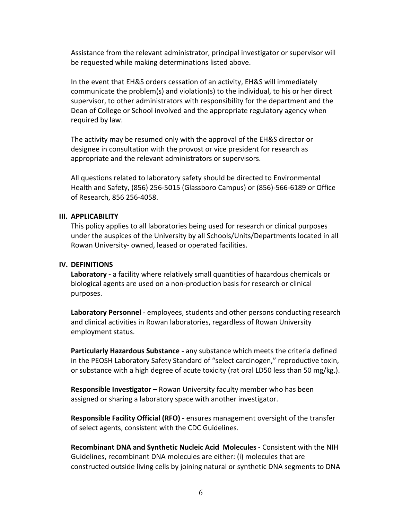Assistance from the relevant administrator, principal investigator or supervisor will be requested while making determinations listed above.

In the event that EH&S orders cessation of an activity, EH&S will immediately communicate the problem(s) and violation(s) to the individual, to his or her direct supervisor, to other administrators with responsibility for the department and the Dean of College or School involved and the appropriate regulatory agency when required by law.

The activity may be resumed only with the approval of the EH&S director or designee in consultation with the provost or vice president for research as appropriate and the relevant administrators or supervisors.

All questions related to laboratory safety should be directed to Environmental Health and Safety, (856) 256-5015 (Glassboro Campus) or (856)-566-6189 or Office of Research, 856 256-4058.

#### **III. APPLICABILITY**

This policy applies to all laboratories being used for research or clinical purposes under the auspices of the University by all Schools/Units/Departments located in all Rowan University- owned, leased or operated facilities.

#### **IV. DEFINITIONS**

Laboratory - a facility where relatively small quantities of hazardous chemicals or biological agents are used on a non-production basis for research or clinical purposes. 

**Laboratory Personnel** - employees, students and other persons conducting research and clinical activities in Rowan laboratories, regardless of Rowan University employment status.

**Particularly Hazardous Substance -** any substance which meets the criteria defined in the PEOSH Laboratory Safety Standard of "select carcinogen," reproductive toxin, or substance with a high degree of acute toxicity (rat oral LD50 less than 50 mg/kg.).

**Responsible Investigator** – Rowan University faculty member who has been assigned or sharing a laboratory space with another investigator.

**Responsible Facility Official (RFO)** - ensures management oversight of the transfer of select agents, consistent with the CDC Guidelines.

**Recombinant DNA and Synthetic Nucleic Acid Molecules - Consistent with the NIH** Guidelines, recombinant DNA molecules are either: (i) molecules that are constructed outside living cells by joining natural or synthetic DNA segments to DNA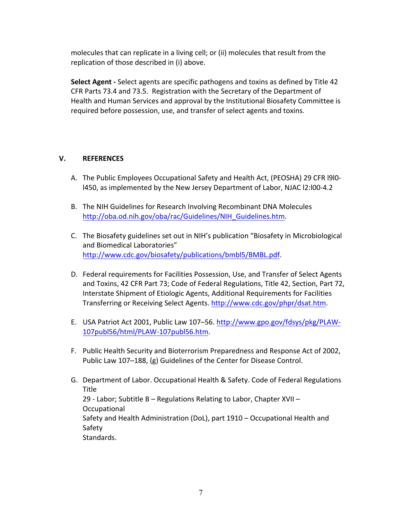molecules that can replicate in a living cell; or (ii) molecules that result from the replication of those described in (i) above.

**Select Agent** - Select agents are specific pathogens and toxins as defined by Title 42 CFR Parts 73.4 and 73.5. Registration with the Secretary of the Department of Health and Human Services and approval by the Institutional Biosafety Committee is required before possession, use, and transfer of select agents and toxins.

## **V. REFERENCES**

- A. The Public Employees Occupational Safety and Health Act, (PEOSHA) 29 CFR I9I0l450, as implemented by the New Jersey Department of Labor, NJAC l2:l00-4.2
- B. The NIH Guidelines for Research Involving Recombinant DNA Molecules http://oba.od.nih.gov/oba/rac/Guidelines/NIH\_Guidelines.htm.
- C. The Biosafety guidelines set out in NIH's publication "Biosafety in Microbiological and Biomedical Laboratories" http://www.cdc.gov/biosafety/publications/bmbl5/BMBL.pdf.
- D. Federal requirements for Facilities Possession, Use, and Transfer of Select Agents and Toxins, 42 CFR Part 73; Code of Federal Regulations, Title 42, Section, Part 72, Interstate Shipment of Etiologic Agents, Additional Requirements for Facilities Transferring or Receiving Select Agents. http://www.cdc.gov/phpr/dsat.htm.
- E. USA Patriot Act 2001, Public Law 107-56. http://www.gpo.gov/fdsys/pkg/PLAW-107publ56/html/PLAW-107publ56.htm.
- F. Public Health Security and Bioterrorism Preparedness and Response Act of 2002, Public Law 107-188, (g) Guidelines of the Center for Disease Control.
- G. Department of Labor. Occupational Health & Safety. Code of Federal Regulations **Title** 29 - Labor; Subtitle B – Regulations Relating to Labor, Chapter XVII – Occupational Safety and Health Administration (DoL), part 1910 - Occupational Health and Safety Standards.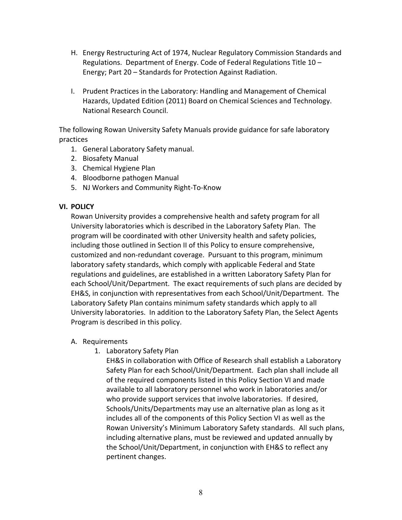- H. Energy Restructuring Act of 1974, Nuclear Regulatory Commission Standards and Regulations. Department of Energy. Code of Federal Regulations Title  $10 -$ Energy; Part 20 - Standards for Protection Against Radiation.
- I. Prudent Practices in the Laboratory: Handling and Management of Chemical Hazards, Updated Edition (2011) Board on Chemical Sciences and Technology. National Research Council.

The following Rowan University Safety Manuals provide guidance for safe laboratory practices

- 1. General Laboratory Safety manual.
- 2. Biosafety Manual
- 3. Chemical Hygiene Plan
- 4. Bloodborne pathogen Manual
- 5. NJ Workers and Community Right-To-Know

## **VI. POLICY**

Rowan University provides a comprehensive health and safety program for all University laboratories which is described in the Laboratory Safety Plan. The program will be coordinated with other University health and safety policies, including those outlined in Section II of this Policy to ensure comprehensive, customized and non-redundant coverage. Pursuant to this program, minimum laboratory safety standards, which comply with applicable Federal and State regulations and guidelines, are established in a written Laboratory Safety Plan for each School/Unit/Department. The exact requirements of such plans are decided by EH&S, in conjunction with representatives from each School/Unit/Department. The Laboratory Safety Plan contains minimum safety standards which apply to all University laboratories. In addition to the Laboratory Safety Plan, the Select Agents Program is described in this policy.

## A. Requirements

1. Laboratory Safety Plan

EH&S in collaboration with Office of Research shall establish a Laboratory Safety Plan for each School/Unit/Department. Each plan shall include all of the required components listed in this Policy Section VI and made available to all laboratory personnel who work in laboratories and/or who provide support services that involve laboratories. If desired, Schools/Units/Departments may use an alternative plan as long as it includes all of the components of this Policy Section VI as well as the Rowan University's Minimum Laboratory Safety standards. All such plans, including alternative plans, must be reviewed and updated annually by the School/Unit/Department, in conjunction with EH&S to reflect any pertinent changes.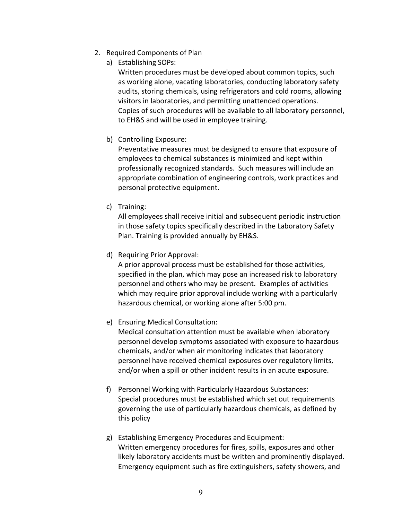- 2. Required Components of Plan
	- a) Establishing SOPs:

Written procedures must be developed about common topics, such as working alone, vacating laboratories, conducting laboratory safety audits, storing chemicals, using refrigerators and cold rooms, allowing visitors in laboratories, and permitting unattended operations. Copies of such procedures will be available to all laboratory personnel, to EH&S and will be used in employee training.

b) Controlling Exposure:

Preventative measures must be designed to ensure that exposure of employees to chemical substances is minimized and kept within professionally recognized standards. Such measures will include an appropriate combination of engineering controls, work practices and personal protective equipment.

c) Training:

All employees shall receive initial and subsequent periodic instruction in those safety topics specifically described in the Laboratory Safety Plan. Training is provided annually by EH&S.

d) Requiring Prior Approval:

A prior approval process must be established for those activities, specified in the plan, which may pose an increased risk to laboratory personnel and others who may be present. Examples of activities which may require prior approval include working with a particularly hazardous chemical, or working alone after 5:00 pm.

e) Ensuring Medical Consultation:

Medical consultation attention must be available when laboratory personnel develop symptoms associated with exposure to hazardous chemicals, and/or when air monitoring indicates that laboratory personnel have received chemical exposures over regulatory limits, and/or when a spill or other incident results in an acute exposure.

- f) Personnel Working with Particularly Hazardous Substances: Special procedures must be established which set out requirements governing the use of particularly hazardous chemicals, as defined by this policy
- g) Establishing Emergency Procedures and Equipment: Written emergency procedures for fires, spills, exposures and other likely laboratory accidents must be written and prominently displayed. Emergency equipment such as fire extinguishers, safety showers, and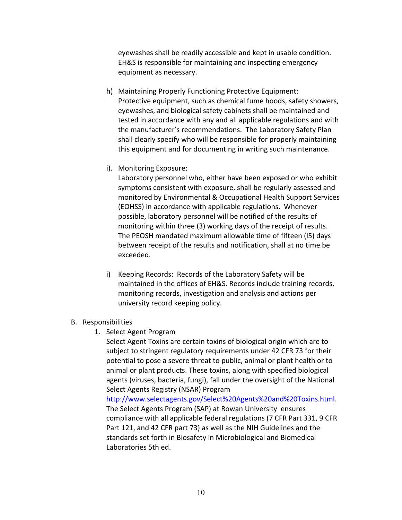eyewashes shall be readily accessible and kept in usable condition. EH&S is responsible for maintaining and inspecting emergency equipment as necessary.

- h) Maintaining Properly Functioning Protective Equipment: Protective equipment, such as chemical fume hoods, safety showers, eyewashes, and biological safety cabinets shall be maintained and tested in accordance with any and all applicable regulations and with the manufacturer's recommendations. The Laboratory Safety Plan shall clearly specify who will be responsible for properly maintaining this equipment and for documenting in writing such maintenance.
- i). Monitoring Exposure:

Laboratory personnel who, either have been exposed or who exhibit symptoms consistent with exposure, shall be regularly assessed and monitored by Environmental & Occupational Health Support Services (EOHSS) in accordance with applicable regulations. Whenever possible, laboratory personnel will be notified of the results of monitoring within three (3) working days of the receipt of results. The PEOSH mandated maximum allowable time of fifteen (I5) days between receipt of the results and notification, shall at no time be exceeded.

- i) Keeping Records: Records of the Laboratory Safety will be maintained in the offices of EH&S. Records include training records, monitoring records, investigation and analysis and actions per university record keeping policy.
- B. Responsibilities
	- 1. Select Agent Program

Select Agent Toxins are certain toxins of biological origin which are to subject to stringent regulatory requirements under 42 CFR 73 for their potential to pose a severe threat to public, animal or plant health or to animal or plant products. These toxins, along with specified biological agents (viruses, bacteria, fungi), fall under the oversight of the National Select Agents Registry (NSAR) Program

http://www.selectagents.gov/Select%20Agents%20and%20Toxins.html. The Select Agents Program (SAP) at Rowan University ensures compliance with all applicable federal regulations (7 CFR Part 331, 9 CFR Part 121, and 42 CFR part 73) as well as the NIH Guidelines and the standards set forth in Biosafety in Microbiological and Biomedical Laboratories 5th ed.